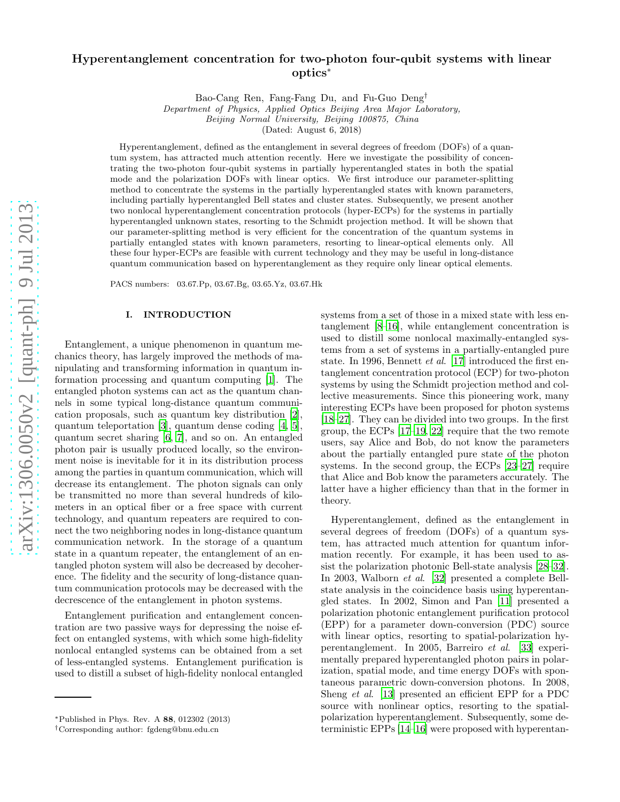# arXiv:1306.0050v2 [quant-ph] 9 Jul 2013 [arXiv:1306.0050v2 \[quant-ph\] 9 Jul 2013](http://arxiv.org/abs/1306.0050v2)

# Hyperentanglement concentration for two-photon four-qubit systems with linear optics<sup>∗</sup>

Bao-Cang Ren, Fang-Fang Du, and Fu-Guo Deng†

Department of Physics, Applied Optics Beijing Area Major Laboratory, Beijing Normal University, Beijing 100875, China

(Dated: August 6, 2018)

Hyperentanglement, defined as the entanglement in several degrees of freedom (DOFs) of a quantum system, has attracted much attention recently. Here we investigate the possibility of concentrating the two-photon four-qubit systems in partially hyperentangled states in both the spatial mode and the polarization DOFs with linear optics. We first introduce our parameter-splitting method to concentrate the systems in the partially hyperentangled states with known parameters, including partially hyperentangled Bell states and cluster states. Subsequently, we present another two nonlocal hyperentanglement concentration protocols (hyper-ECPs) for the systems in partially hyperentangled unknown states, resorting to the Schmidt projection method. It will be shown that our parameter-splitting method is very efficient for the concentration of the quantum systems in partially entangled states with known parameters, resorting to linear-optical elements only. All these four hyper-ECPs are feasible with current technology and they may be useful in long-distance quantum communication based on hyperentanglement as they require only linear optical elements.

PACS numbers: 03.67.Pp, 03.67.Bg, 03.65.Yz, 03.67.Hk

### I. INTRODUCTION

Entanglement, a unique phenomenon in quantum mechanics theory, has largely improved the methods of manipulating and transforming information in quantum information processing and quantum computing [\[1\]](#page-11-0). The entangled photon systems can act as the quantum channels in some typical long-distance quantum communication proposals, such as quantum key distribution [\[2\]](#page-11-1), quantum teleportation [\[3\]](#page-11-2), quantum dense coding [\[4](#page-11-3), [5\]](#page-11-4), quantum secret sharing [\[6](#page-11-5), [7\]](#page-11-6), and so on. An entangled photon pair is usually produced locally, so the environment noise is inevitable for it in its distribution process among the parties in quantum communication, which will decrease its entanglement. The photon signals can only be transmitted no more than several hundreds of kilometers in an optical fiber or a free space with current technology, and quantum repeaters are required to connect the two neighboring nodes in long-distance quantum communication network. In the storage of a quantum state in a quantum repeater, the entanglement of an entangled photon system will also be decreased by decoherence. The fidelity and the security of long-distance quantum communication protocols may be decreased with the decrescence of the entanglement in photon systems.

Entanglement purification and entanglement concentration are two passive ways for depressing the noise effect on entangled systems, with which some high-fidelity nonlocal entangled systems can be obtained from a set of less-entangled systems. Entanglement purification is used to distill a subset of high-fidelity nonlocal entangled

systems from a set of those in a mixed state with less entanglement [\[8](#page-11-7)[–16\]](#page-11-8), while entanglement concentration is used to distill some nonlocal maximally-entangled systems from a set of systems in a partially-entangled pure state. In 1996, Bennett et al. [\[17\]](#page-11-9) introduced the first entanglement concentration protocol (ECP) for two-photon systems by using the Schmidt projection method and collective measurements. Since this pioneering work, many interesting ECPs have been proposed for photon systems [\[18](#page-11-10)[–27\]](#page-12-0). They can be divided into two groups. In the first group, the ECPs [\[17](#page-11-9)[–19](#page-11-11), [22](#page-12-1)] require that the two remote users, say Alice and Bob, do not know the parameters about the partially entangled pure state of the photon systems. In the second group, the ECPs [\[23](#page-12-2)[–27\]](#page-12-0) require that Alice and Bob know the parameters accurately. The latter have a higher efficiency than that in the former in theory.

Hyperentanglement, defined as the entanglement in several degrees of freedom (DOFs) of a quantum system, has attracted much attention for quantum information recently. For example, it has been used to assist the polarization photonic Bell-state analysis [\[28](#page-12-3)[–32\]](#page-12-4). In 2003, Walborn et al. [\[32\]](#page-12-4) presented a complete Bellstate analysis in the coincidence basis using hyperentangled states. In 2002, Simon and Pan [\[11\]](#page-11-12) presented a polarization photonic entanglement purification protocol (EPP) for a parameter down-conversion (PDC) source with linear optics, resorting to spatial-polarization hyperentanglement. In 2005, Barreiro et al. [\[33\]](#page-12-5) experimentally prepared hyperentangled photon pairs in polarization, spatial mode, and time energy DOFs with spontaneous parametric down-conversion photons. In 2008, Sheng et al. [\[13](#page-11-13)] presented an efficient EPP for a PDC source with nonlinear optics, resorting to the spatialpolarization hyperentanglement. Subsequently, some deterministic EPPs [\[14](#page-11-14)[–16](#page-11-8)] were proposed with hyperentan-

<sup>∗</sup>Published in Phys. Rev. A 88, 012302 (2013)

<sup>†</sup>Corresponding author: fgdeng@bnu.edu.cn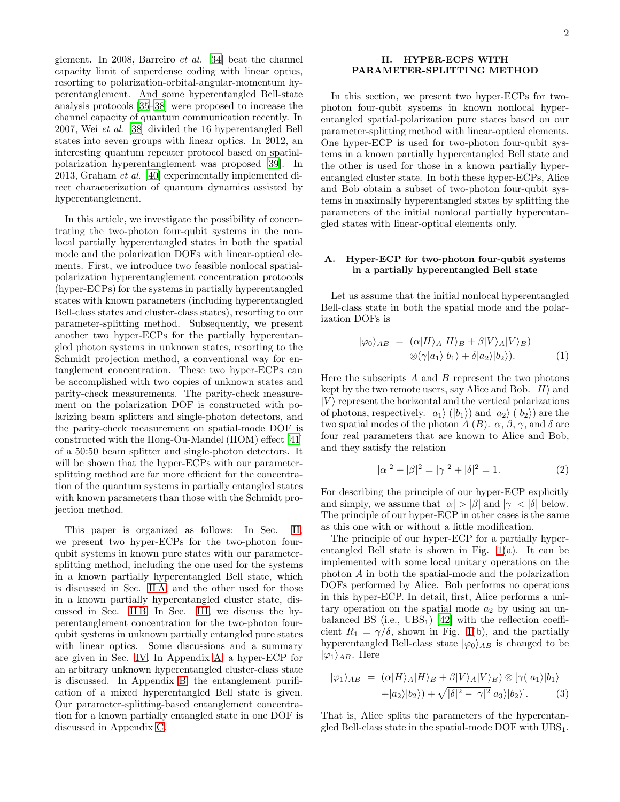glement. In 2008, Barreiro et al. [\[34\]](#page-12-6) beat the channel capacity limit of superdense coding with linear optics, resorting to polarization-orbital-angular-momentum hyperentanglement. And some hyperentangled Bell-state analysis protocols [\[35](#page-12-7)[–38\]](#page-12-8) were proposed to increase the channel capacity of quantum communication recently. In 2007, Wei et al. [\[38\]](#page-12-8) divided the 16 hyperentangled Bell states into seven groups with linear optics. In 2012, an interesting quantum repeater protocol based on spatialpolarization hyperentanglement was proposed [\[39\]](#page-12-9). In 2013, Graham et al. [\[40](#page-12-10)] experimentally implemented direct characterization of quantum dynamics assisted by hyperentanglement.

In this article, we investigate the possibility of concentrating the two-photon four-qubit systems in the nonlocal partially hyperentangled states in both the spatial mode and the polarization DOFs with linear-optical elements. First, we introduce two feasible nonlocal spatialpolarization hyperentanglement concentration protocols (hyper-ECPs) for the systems in partially hyperentangled states with known parameters (including hyperentangled Bell-class states and cluster-class states), resorting to our parameter-splitting method. Subsequently, we present another two hyper-ECPs for the partially hyperentangled photon systems in unknown states, resorting to the Schmidt projection method, a conventional way for entanglement concentration. These two hyper-ECPs can be accomplished with two copies of unknown states and parity-check measurements. The parity-check measurement on the polarization DOF is constructed with polarizing beam splitters and single-photon detectors, and the parity-check measurement on spatial-mode DOF is constructed with the Hong-Ou-Mandel (HOM) effect [\[41](#page-12-11)] of a 50:50 beam splitter and single-photon detectors. It will be shown that the hyper-ECPs with our parametersplitting method are far more efficient for the concentration of the quantum systems in partially entangled states with known parameters than those with the Schmidt projection method.

This paper is organized as follows: In Sec. [II,](#page-1-0) we present two hyper-ECPs for the two-photon fourqubit systems in known pure states with our parametersplitting method, including the one used for the systems in a known partially hyperentangled Bell state, which is discussed in Sec. [II A,](#page-1-1) and the other used for those in a known partially hyperentangled cluster state, discussed in Sec. [II B.](#page-3-0) In Sec. [III,](#page-4-0) we discuss the hyperentanglement concentration for the two-photon fourqubit systems in unknown partially entangled pure states with linear optics. Some discussions and a summary are given in Sec. [IV.](#page-7-0) In Appendix [A,](#page-8-0) a hyper-ECP for an arbitrary unknown hyperentangled cluster-class state is discussed. In Appendix [B,](#page-9-0) the entanglement purification of a mixed hyperentangled Bell state is given. Our parameter-splitting-based entanglement concentration for a known partially entangled state in one DOF is discussed in Appendix [C.](#page-10-0)

# <span id="page-1-0"></span>II. HYPER-ECPS WITH PARAMETER-SPLITTING METHOD

In this section, we present two hyper-ECPs for twophoton four-qubit systems in known nonlocal hyperentangled spatial-polarization pure states based on our parameter-splitting method with linear-optical elements. One hyper-ECP is used for two-photon four-qubit systems in a known partially hyperentangled Bell state and the other is used for those in a known partially hyperentangled cluster state. In both these hyper-ECPs, Alice and Bob obtain a subset of two-photon four-qubit systems in maximally hyperentangled states by splitting the parameters of the initial nonlocal partially hyperentangled states with linear-optical elements only.

### <span id="page-1-1"></span>A. Hyper-ECP for two-photon four-qubit systems in a partially hyperentangled Bell state

Let us assume that the initial nonlocal hyperentangled Bell-class state in both the spatial mode and the polarization DOFs is

$$
|\varphi_0\rangle_{AB} = (\alpha|H\rangle_A|H\rangle_B + \beta|V\rangle_A|V\rangle_B)
$$
  

$$
\otimes(\gamma|a_1\rangle|b_1\rangle + \delta|a_2\rangle|b_2\rangle).
$$
 (1)

Here the subscripts  $A$  and  $B$  represent the two photons kept by the two remote users, say Alice and Bob.  $|H\rangle$  and  $|V\rangle$  represent the horizontal and the vertical polarizations of photons, respectively.  $|a_1\rangle$  ( $|b_1\rangle$ ) and  $|a_2\rangle$  ( $|b_2\rangle$ ) are the two spatial modes of the photon  $A(B)$ .  $\alpha$ ,  $\beta$ ,  $\gamma$ , and  $\delta$  are four real parameters that are known to Alice and Bob, and they satisfy the relation

$$
|\alpha|^2 + |\beta|^2 = |\gamma|^2 + |\delta|^2 = 1.
$$
 (2)

For describing the principle of our hyper-ECP explicitly and simply, we assume that  $|\alpha| > |\beta|$  and  $|\gamma| < |\delta|$  below. The principle of our hyper-ECP in other cases is the same as this one with or without a little modification.

The principle of our hyper-ECP for a partially hyperentangled Bell state is shown in Fig. [1\(](#page-2-0)a). It can be implemented with some local unitary operations on the photon A in both the spatial-mode and the polarization DOFs performed by Alice. Bob performs no operations in this hyper-ECP. In detail, first, Alice performs a unitary operation on the spatial mode  $a_2$  by using an unbalanced BS (i.e.,  $UBS_1$ ) [\[42\]](#page-12-12) with the reflection coefficient  $R_1 = \gamma/\delta$ , shown in Fig. [1\(](#page-2-0)b), and the partially hyperentangled Bell-class state  $|\varphi_0\rangle_{AB}$  is changed to be  $|\varphi_1\rangle_{AB}$ . Here

$$
|\varphi_1\rangle_{AB} = (\alpha|H\rangle_A|H\rangle_B + \beta|V\rangle_A|V\rangle_B) \otimes [\gamma(|a_1\rangle|b_1\rangle + |a_2\rangle|b_2\rangle) + \sqrt{|\delta|^2 - |\gamma|^2} |a_3\rangle|b_2\rangle]. \tag{3}
$$

That is, Alice splits the parameters of the hyperentangled Bell-class state in the spatial-mode DOF with UBS1.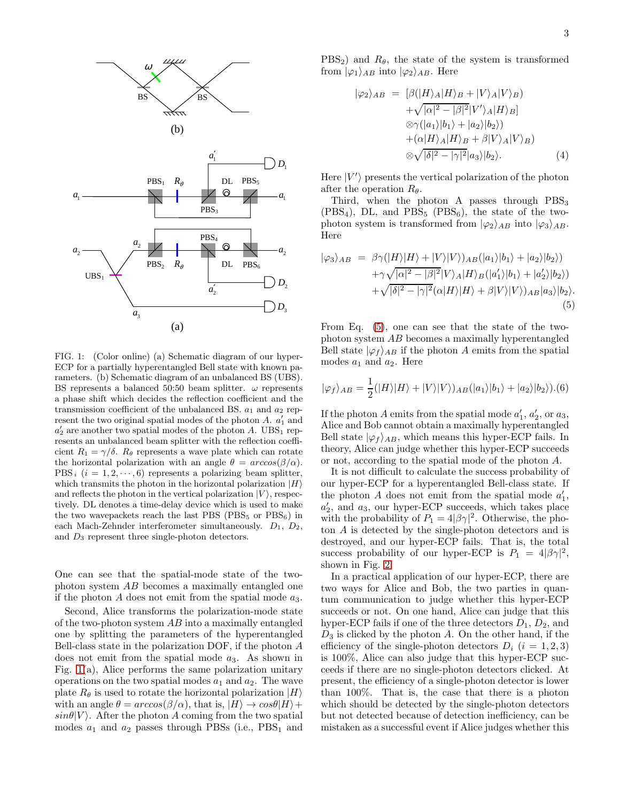

<span id="page-2-0"></span>FIG. 1: (Color online) (a) Schematic diagram of our hyper-ECP for a partially hyperentangled Bell state with known parameters. (b) Schematic diagram of an unbalanced BS (UBS). BS represents a balanced 50:50 beam splitter.  $\omega$  represents a phase shift which decides the reflection coefficient and the transmission coefficient of the unbalanced BS.  $a_1$  and  $a_2$  represent the two original spatial modes of the photon  $A$ .  $a'_1$  and  $a'_2$  are another two spatial modes of the photon A. UBS<sub>1</sub> represents an unbalanced beam splitter with the reflection coefficient  $R_1 = \gamma/\delta$ .  $R_\theta$  represents a wave plate which can rotate the horizontal polarization with an angle  $\theta = \arccos(\beta/\alpha)$ . PBS  $i$   $(i = 1, 2, \dots, 6)$  represents a polarizing beam splitter, which transmits the photon in the horizontal polarization  $|H\rangle$ and reflects the photon in the vertical polarization  $|V\rangle$ , respectively. DL denotes a time-delay device which is used to make the two wavepackets reach the last PBS ( $PBS_5$  or  $PBS_6$ ) in each Mach-Zehnder interferometer simultaneously.  $D_1$ ,  $D_2$ , and  $D_3$  represent three single-photon detectors.

One can see that the spatial-mode state of the twophoton system AB becomes a maximally entangled one if the photon A does not emit from the spatial mode  $a_3$ .

Second, Alice transforms the polarization-mode state of the two-photon system AB into a maximally entangled one by splitting the parameters of the hyperentangled Bell-class state in the polarization DOF, if the photon A does not emit from the spatial mode  $a_3$ . As shown in Fig.  $1(a)$ , Alice performs the same polarization unitary operations on the two spatial modes  $a_1$  and  $a_2$ . The wave plate  $R_{\theta}$  is used to rotate the horizontal polarization  $|H\rangle$ with an angle  $\theta = \arccos(\beta/\alpha)$ , that is,  $|H\rangle \rightarrow \cos\theta|H\rangle +$  $sin\theta|V\rangle$ . After the photon A coming from the two spatial modes  $a_1$  and  $a_2$  passes through PBSs (i.e., PBS<sub>1</sub> and

 $PBS<sub>2</sub>$ ) and  $R<sub>θ</sub>$ , the state of the system is transformed from  $|\varphi_1\rangle_{AB}$  into  $|\varphi_2\rangle_{AB}$ . Here

$$
|\varphi_2\rangle_{AB} = [\beta(|H\rangle_A|H\rangle_B + |V\rangle_A|V\rangle_B) + \sqrt{|\alpha|^2 - |\beta|^2}|V'\rangle_A|H\rangle_B| \n\otimes \gamma(|a_1\rangle|b_1\rangle + |a_2\rangle|b_2\rangle) + (\alpha|H\rangle_A|H\rangle_B + \beta|V\rangle_A|V\rangle_B) \n\otimes \sqrt{|\delta|^2 - |\gamma|^2}|a_3\rangle|b_2\rangle.
$$
 (4)

Here  $|V'\rangle$  presents the vertical polarization of the photon after the operation  $R_{\theta}$ .

Third, when the photon A passes through  $PBS<sub>3</sub>$  $(PBS_4)$ , DL, and  $PBS_5$  (PBS<sub>6</sub>), the state of the twophoton system is transformed from  $|\varphi_2\rangle_{AB}$  into  $|\varphi_3\rangle_{AB}$ . Here

<span id="page-2-1"></span>
$$
|\varphi_3\rangle_{AB} = \beta \gamma (|H\rangle|H\rangle + |V\rangle|V\rangle)_{AB} (|a_1\rangle|b_1\rangle + |a_2\rangle|b_2\rangle) + \gamma \sqrt{|\alpha|^2 - |\beta|^2} |V\rangle_A |H\rangle_B (|a'_1\rangle|b_1\rangle + |a'_2\rangle|b_2\rangle) + \sqrt{|\delta|^2 - |\gamma|^2} (\alpha|H\rangle|H\rangle + \beta|V\rangle|V\rangle)_{AB} |a_3\rangle|b_2\rangle.
$$
(5)

From Eq. [\(5\)](#page-2-1), one can see that the state of the twophoton system AB becomes a maximally hyperentangled Bell state  $|\varphi_f\rangle_{AB}$  if the photon A emits from the spatial modes  $a_1$  and  $a_2$ . Here

$$
|\varphi_f\rangle_{AB} = \frac{1}{2}(|H\rangle|H\rangle + |V\rangle|V\rangle)_{AB}(|a_1\rangle|b_1\rangle + |a_2\rangle|b_2\rangle). (6)
$$

If the photon A emits from the spatial mode  $a'_1, a'_2$ , or  $a_3$ , Alice and Bob cannot obtain a maximally hyperentangled Bell state  $|\varphi_f\rangle_{AB}$ , which means this hyper-ECP fails. In theory, Alice can judge whether this hyper-ECP succeeds or not, according to the spatial mode of the photon A.

It is not difficult to calculate the success probability of our hyper-ECP for a hyperentangled Bell-class state. If the photon  $A$  does not emit from the spatial mode  $a'_1$ ,  $a'_2$ , and  $a_3$ , our hyper-ECP succeeds, which takes place with the probability of  $P_1 = 4|\beta\gamma|^2$ . Otherwise, the photon A is detected by the single-photon detectors and is destroyed, and our hyper-ECP fails. That is, the total success probability of our hyper-ECP is  $P_1 = 4|\beta\gamma|^2$ , shown in Fig. [2.](#page-3-1)

In a practical application of our hyper-ECP, there are two ways for Alice and Bob, the two parties in quantum communication to judge whether this hyper-ECP succeeds or not. On one hand, Alice can judge that this hyper-ECP fails if one of the three detectors  $D_1$ ,  $D_2$ , and  $D_3$  is clicked by the photon  $A$ . On the other hand, if the efficiency of the single-photon detectors  $D_i$   $(i = 1, 2, 3)$ is 100%, Alice can also judge that this hyper-ECP succeeds if there are no single-photon detectors clicked. At present, the efficiency of a single-photon detector is lower than 100%. That is, the case that there is a photon which should be detected by the single-photon detectors but not detected because of detection inefficiency, can be mistaken as a successful event if Alice judges whether this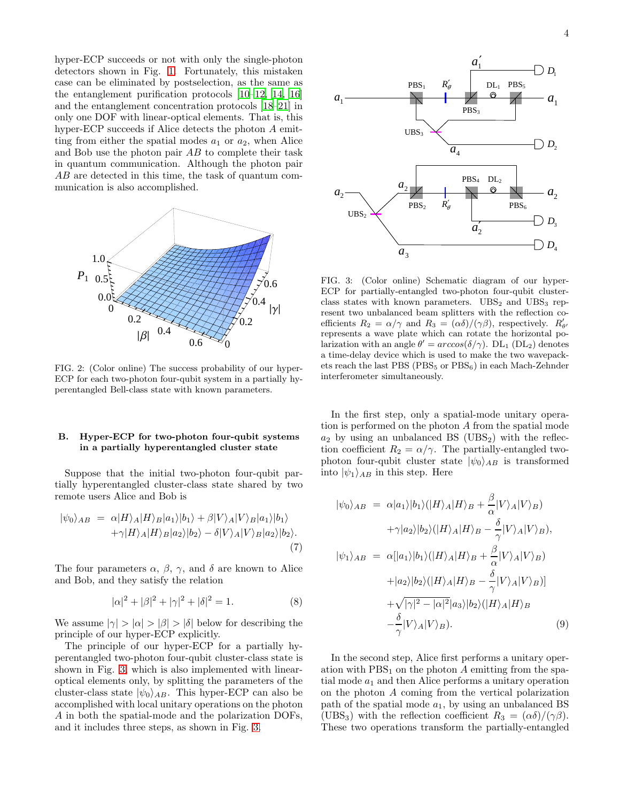hyper-ECP succeeds or not with only the single-photon detectors shown in Fig. [1.](#page-2-0) Fortunately, this mistaken case can be eliminated by postselection, as the same as the entanglement purification protocols [\[10](#page-11-15)[–12,](#page-11-16) [14,](#page-11-14) [16](#page-11-8)] and the entanglement concentration protocols [\[18](#page-11-10)[–21\]](#page-11-17) in only one DOF with linear-optical elements. That is, this hyper-ECP succeeds if Alice detects the photon A emitting from either the spatial modes  $a_1$  or  $a_2$ , when Alice and Bob use the photon pair  $AB$  to complete their task in quantum communication. Although the photon pair AB are detected in this time, the task of quantum communication is also accomplished.



<span id="page-3-1"></span>FIG. 2: (Color online) The success probability of our hyper-ECP for each two-photon four-qubit system in a partially hyperentangled Bell-class state with known parameters.

# <span id="page-3-0"></span>B. Hyper-ECP for two-photon four-qubit systems in a partially hyperentangled cluster state

Suppose that the initial two-photon four-qubit partially hyperentangled cluster-class state shared by two remote users Alice and Bob is

$$
|\psi_0\rangle_{AB} = \alpha |H\rangle_A |H\rangle_B |a_1\rangle |b_1\rangle + \beta |V\rangle_A |V\rangle_B |a_1\rangle |b_1\rangle + \gamma |H\rangle_A |H\rangle_B |a_2\rangle |b_2\rangle - \delta |V\rangle_A |V\rangle_B |a_2\rangle |b_2\rangle.
$$
\n(7)

The four parameters  $\alpha$ ,  $\beta$ ,  $\gamma$ , and  $\delta$  are known to Alice and Bob, and they satisfy the relation

$$
|\alpha|^2 + |\beta|^2 + |\gamma|^2 + |\delta|^2 = 1.
$$
 (8)

We assume  $|\gamma| > |\alpha| > |\beta| > |\delta|$  below for describing the principle of our hyper-ECP explicitly.

The principle of our hyper-ECP for a partially hyperentangled two-photon four-qubit cluster-class state is shown in Fig. [3,](#page-3-2) which is also implemented with linearoptical elements only, by splitting the parameters of the cluster-class state  $|\psi_0\rangle_{AB}$ . This hyper-ECP can also be accomplished with local unitary operations on the photon A in both the spatial-mode and the polarization DOFs, and it includes three steps, as shown in Fig. [3.](#page-3-2)



<span id="page-3-2"></span>FIG. 3: (Color online) Schematic diagram of our hyper-ECP for partially-entangled two-photon four-qubit clusterclass states with known parameters.  $UBS<sub>2</sub>$  and  $UBS<sub>3</sub>$  represent two unbalanced beam splitters with the reflection coefficients  $R_2 = \alpha/\gamma$  and  $R_3 = (\alpha\delta)/(\gamma\beta)$ , respectively.  $R'_{\theta'}$ represents a wave plate which can rotate the horizontal polarization with an angle  $\theta' = \arccos(\delta/\gamma)$ . DL<sub>1</sub> (DL<sub>2</sub>) denotes a time-delay device which is used to make the two wavepackets reach the last PBS (PBS<sub>5</sub> or PBS<sub>6</sub>) in each Mach-Zehnder interferometer simultaneously.

In the first step, only a spatial-mode unitary operation is performed on the photon A from the spatial mode  $a_2$  by using an unbalanced BS (UBS<sub>2</sub>) with the reflection coefficient  $R_2 = \alpha/\gamma$ . The partially-entangled twophoton four-qubit cluster state  $|\psi_0\rangle_{AB}$  is transformed into  $|\psi_1\rangle_{AB}$  in this step. Here

$$
|\psi_0\rangle_{AB} = \alpha |a_1\rangle |b_1\rangle (|H\rangle_A |H\rangle_B + \frac{\beta}{\alpha} |V\rangle_A |V\rangle_B)
$$
  
+ $\gamma |a_2\rangle |b_2\rangle (|H\rangle_A |H\rangle_B - \frac{\delta}{\gamma} |V\rangle_A |V\rangle_B),$   

$$
|\psi_1\rangle_{AB} = \alpha |[a_1\rangle |b_1\rangle (|H\rangle_A |H\rangle_B + \frac{\beta}{\alpha} |V\rangle_A |V\rangle_B)
$$
  
+ $|a_2\rangle |b_2\rangle (|H\rangle_A |H\rangle_B - \frac{\delta}{\gamma} |V\rangle_A |V\rangle_B)]$   
+ $\sqrt{|\gamma|^2 - |\alpha|^2} |a_3\rangle |b_2\rangle (|H\rangle_A |H\rangle_B$   
- $\frac{\delta}{\gamma} |V\rangle_A |V\rangle_B).$  (9)

In the second step, Alice first performs a unitary operation with  $\text{PBS}_1$  on the photon A emitting from the spatial mode  $a_1$  and then Alice performs a unitary operation on the photon A coming from the vertical polarization path of the spatial mode  $a_1$ , by using an unbalanced BS (UBS<sub>3</sub>) with the reflection coefficient  $R_3 = (\alpha \delta)/(\gamma \beta)$ . These two operations transform the partially-entangled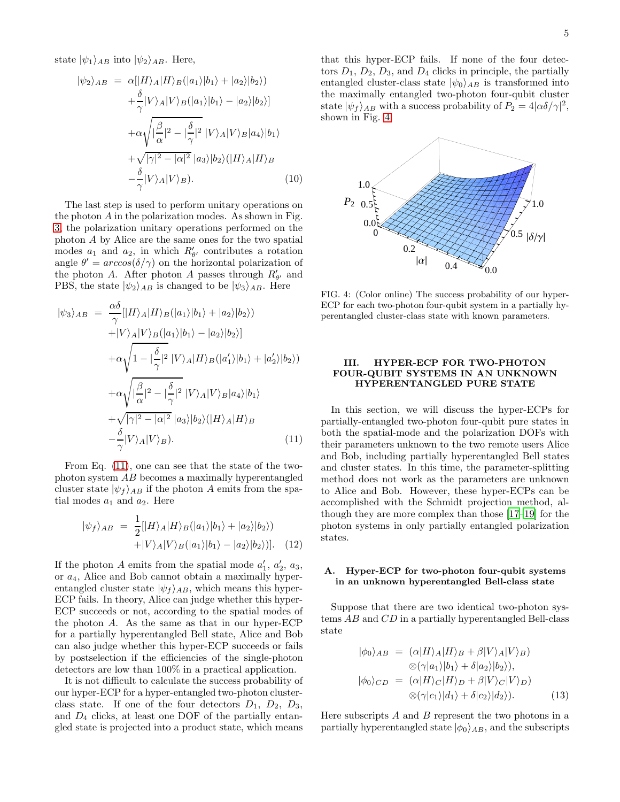state  $|\psi_1\rangle_{AB}$  into  $|\psi_2\rangle_{AB}$ . Here,

$$
|\psi_2\rangle_{AB} = \alpha[|H\rangle_A|H\rangle_B(|a_1\rangle|b_1\rangle + |a_2\rangle|b_2\rangle) + \frac{\delta}{\gamma}|V\rangle_A|V\rangle_B(|a_1\rangle|b_1\rangle - |a_2\rangle|b_2\rangle] + \alpha\sqrt{\frac{\beta}{\alpha}|^2 - |\frac{\delta}{\gamma}|^2}|V\rangle_A|V\rangle_B|a_4\rangle|b_1\rangle + \sqrt{|\gamma|^2 - |\alpha|^2}|a_3\rangle|b_2\rangle(|H\rangle_A|H\rangle_B - \frac{\delta}{\gamma}|V\rangle_A|V\rangle_B).
$$
 (10)

The last step is used to perform unitary operations on the photon  $A$  in the polarization modes. As shown in Fig. [3,](#page-3-2) the polarization unitary operations performed on the photon A by Alice are the same ones for the two spatial modes  $a_1$  and  $a_2$ , in which  $R'_{\theta'}$  contributes a rotation angle  $\theta' = \arccos(\delta/\gamma)$  on the horizontal polarization of the photon A. After photon A passes through  $R'_{\theta'}$  and PBS, the state  $|\psi_2\rangle_{AB}$  is changed to be  $|\psi_3\rangle_{AB}$ . Here

<span id="page-4-1"></span>
$$
|\psi_3\rangle_{AB} = \frac{\alpha \delta}{\gamma} [|H\rangle_A |H\rangle_B (|a_1\rangle |b_1\rangle + |a_2\rangle |b_2\rangle)
$$
  
+|V\rangle\_A |V\rangle\_B (|a\_1\rangle |b\_1\rangle - |a\_2\rangle |b\_2\rangle]  
+ \alpha \sqrt{1 - |\frac{\delta}{\gamma}|^2} |V\rangle\_A |H\rangle\_B (|a'\_1\rangle |b\_1\rangle + |a'\_2\rangle |b\_2\rangle)  
+ \alpha \sqrt{|\frac{\beta}{\alpha}|^2 - |\frac{\delta}{\gamma}|^2} |V\rangle\_A |V\rangle\_B |a\_4\rangle |b\_1\rangle  
+ \sqrt{|\gamma|^2 - |\alpha|^2} |a\_3\rangle |b\_2\rangle (|H\rangle\_A |H\rangle\_B  
- \frac{\delta}{\gamma} |V\rangle\_A |V\rangle\_B). (11)

From Eq. [\(11\)](#page-4-1), one can see that the state of the twophoton system AB becomes a maximally hyperentangled cluster state  $|\psi_f\rangle_{AB}$  if the photon A emits from the spatial modes  $a_1$  and  $a_2$ . Here

$$
|\psi_f\rangle_{AB} = \frac{1}{2} [|H\rangle_A |H\rangle_B (|a_1\rangle |b_1\rangle + |a_2\rangle |b_2\rangle) + |V\rangle_A |V\rangle_B (|a_1\rangle |b_1\rangle - |a_2\rangle |b_2\rangle)]. \quad (12)
$$

If the photon A emits from the spatial mode  $a'_1, a'_2, a_3$ , or a4, Alice and Bob cannot obtain a maximally hyperentangled cluster state  $|\psi_f\rangle_{AB}$ , which means this hyper-ECP fails. In theory, Alice can judge whether this hyper-ECP succeeds or not, according to the spatial modes of the photon A. As the same as that in our hyper-ECP for a partially hyperentangled Bell state, Alice and Bob can also judge whether this hyper-ECP succeeds or fails by postselection if the efficiencies of the single-photon detectors are low than 100% in a practical application.

It is not difficult to calculate the success probability of our hyper-ECP for a hyper-entangled two-photon clusterclass state. If one of the four detectors  $D_1$ ,  $D_2$ ,  $D_3$ , and  $D_4$  clicks, at least one DOF of the partially entangled state is projected into a product state, which means

that this hyper-ECP fails. If none of the four detectors  $D_1$ ,  $D_2$ ,  $D_3$ , and  $D_4$  clicks in principle, the partially entangled cluster-class state  $|\psi_0\rangle_{AB}$  is transformed into the maximally entangled two-photon four-qubit cluster state  $|\psi_f\rangle_{AB}$  with a success probability of  $P_2 = 4|\alpha\delta/\gamma|^2$ , shown in Fig. [4.](#page-4-2)



<span id="page-4-2"></span>FIG. 4: (Color online) The success probability of our hyper-ECP for each two-photon four-qubit system in a partially hyperentangled cluster-class state with known parameters.

## <span id="page-4-0"></span>III. HYPER-ECP FOR TWO-PHOTON FOUR-QUBIT SYSTEMS IN AN UNKNOWN HYPERENTANGLED PURE STATE

In this section, we will discuss the hyper-ECPs for partially-entangled two-photon four-qubit pure states in both the spatial-mode and the polarization DOFs with their parameters unknown to the two remote users Alice and Bob, including partially hyperentangled Bell states and cluster states. In this time, the parameter-splitting method does not work as the parameters are unknown to Alice and Bob. However, these hyper-ECPs can be accomplished with the Schmidt projection method, although they are more complex than those [\[17](#page-11-9)[–19\]](#page-11-11) for the photon systems in only partially entangled polarization states.

### <span id="page-4-3"></span>A. Hyper-ECP for two-photon four-qubit systems in an unknown hyperentangled Bell-class state

Suppose that there are two identical two-photon systems AB and CD in a partially hyperentangled Bell-class state

$$
|\phi_0\rangle_{AB} = (\alpha|H\rangle_A|H\rangle_B + \beta|V\rangle_A|V\rangle_B)
$$
  
\n
$$
\otimes(\gamma|a_1\rangle|b_1\rangle + \delta|a_2\rangle|b_2\rangle),
$$
  
\n
$$
|\phi_0\rangle_{CD} = (\alpha|H\rangle_C|H\rangle_D + \beta|V\rangle_C|V\rangle_D)
$$
  
\n
$$
\otimes(\gamma|c_1\rangle|d_1\rangle + \delta|c_2\rangle|d_2\rangle). \tag{13}
$$

Here subscripts  $A$  and  $B$  represent the two photons in a partially hyperentangled state  $|\phi_0\rangle_{AB}$ , and the subscripts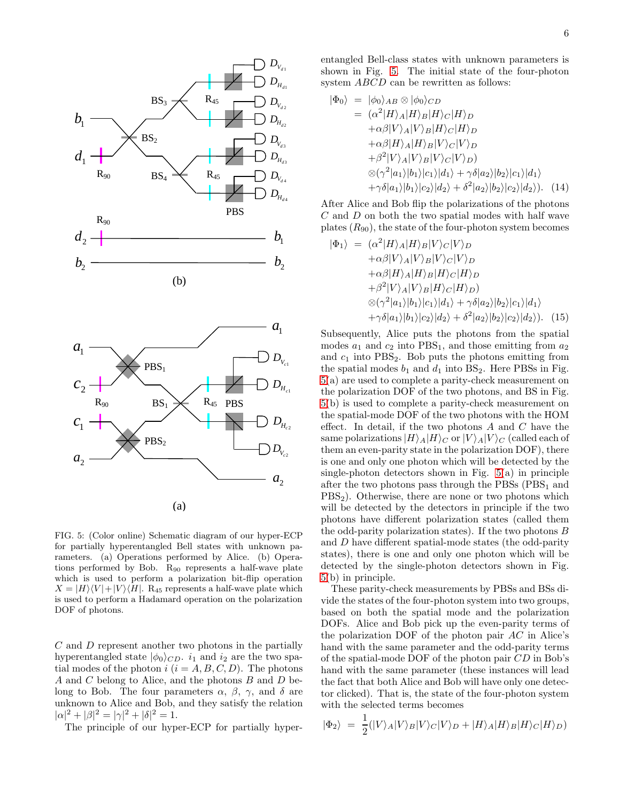

<span id="page-5-0"></span>FIG. 5: (Color online) Schematic diagram of our hyper-ECP for partially hyperentangled Bell states with unknown parameters. (a) Operations performed by Alice. (b) Operations performed by Bob. R<sup>90</sup> represents a half-wave plate which is used to perform a polarization bit-flip operation  $X = |H\rangle\langle V| + |V\rangle\langle H|$ . R<sub>45</sub> represents a half-wave plate which is used to perform a Hadamard operation on the polarization DOF of photons.

 $C$  and  $D$  represent another two photons in the partially hyperentangled state  $|\phi_0\rangle$ <sub>CD</sub>.  $i_1$  and  $i_2$  are the two spatial modes of the photon  $i$   $(i = A, B, C, D)$ . The photons A and C belong to Alice, and the photons B and D belong to Bob. The four parameters  $\alpha$ ,  $\beta$ ,  $\gamma$ , and  $\delta$  are unknown to Alice and Bob, and they satisfy the relation  $|\alpha|^2 + |\beta|^2 = |\gamma|^2 + |\delta|^2 = 1.$ 

The principle of our hyper-ECP for partially hyper-

entangled Bell-class states with unknown parameters is shown in Fig. [5.](#page-5-0) The initial state of the four-photon system ABCD can be rewritten as follows:

$$
\begin{aligned}\n|\Phi_0\rangle &= |\phi_0\rangle_{AB} \otimes |\phi_0\rangle_{CD} \\
&= (\alpha^2 |H\rangle_A |H\rangle_B |H\rangle_C |H\rangle_D \\
&+ \alpha\beta |V\rangle_A |V\rangle_B |H\rangle_C |H\rangle_D \\
&+ \alpha\beta |H\rangle_A |H\rangle_B |V\rangle_C |V\rangle_D \\
&+ \beta^2 |V\rangle_A |V\rangle_B |V\rangle_C |V\rangle_D \\
&\otimes (\gamma^2 |a_1\rangle |b_1\rangle |c_1\rangle |d_1\rangle + \gamma\delta |a_2\rangle |b_2\rangle |c_1\rangle |d_1\rangle \\
&+ \gamma\delta |a_1\rangle |b_1\rangle |c_2\rangle |d_2\rangle + \delta^2 |a_2\rangle |b_2\rangle |c_2\rangle |d_2\rangle.\n\end{aligned}
$$
(14)

After Alice and Bob flip the polarizations of the photons  $C$  and  $D$  on both the two spatial modes with half wave plates  $(R_{90})$ , the state of the four-photon system becomes

$$
|\Phi_1\rangle = (\alpha^2 |H\rangle_A |H\rangle_B |V\rangle_C |V\rangle_D + \alpha\beta |V\rangle_A |V\rangle_B |V\rangle_C |V\rangle_D + \alpha\beta |H\rangle_A |H\rangle_B |H\rangle_C |H\rangle_D + \beta^2 |V\rangle_A |V\rangle_B |H\rangle_C |H\rangle_D \n\otimes (\gamma^2 |a_1\rangle |b_1\rangle |c_1\rangle |d_1\rangle + \gamma\delta |a_2\rangle |b_2\rangle |c_1\rangle |d_1\rangle + \gamma\delta |a_1\rangle |b_1\rangle |c_2\rangle |d_2\rangle + \delta^2 |a_2\rangle |b_2\rangle |c_2\rangle |d_2\rangle.
$$
 (15)

Subsequently, Alice puts the photons from the spatial modes  $a_1$  and  $c_2$  into  $\text{PBS}_1$ , and those emitting from  $a_2$ and  $c_1$  into  $PBS_2$ . Bob puts the photons emitting from the spatial modes  $b_1$  and  $d_1$  into  $BS_2$ . Here PBSs in Fig. [5\(](#page-5-0)a) are used to complete a parity-check measurement on the polarization DOF of the two photons, and BS in Fig. [5\(](#page-5-0)b) is used to complete a parity-check measurement on the spatial-mode DOF of the two photons with the HOM effect. In detail, if the two photons  $A$  and  $C$  have the same polarizations  $|H\rangle_A|H\rangle_C$  or  $|V\rangle_A|V\rangle_C$  (called each of them an even-parity state in the polarization DOF), there is one and only one photon which will be detected by the single-photon detectors shown in Fig. [5\(](#page-5-0)a) in principle after the two photons pass through the  $PBSs$  ( $PBS<sub>1</sub>$  and PBS2). Otherwise, there are none or two photons which will be detected by the detectors in principle if the two photons have different polarization states (called them the odd-parity polarization states). If the two photons B and D have different spatial-mode states (the odd-parity states), there is one and only one photon which will be detected by the single-photon detectors shown in Fig. [5\(](#page-5-0)b) in principle.

These parity-check measurements by PBSs and BSs divide the states of the four-photon system into two groups, based on both the spatial mode and the polarization DOFs. Alice and Bob pick up the even-parity terms of the polarization DOF of the photon pair  $AC$  in Alice's hand with the same parameter and the odd-parity terms of the spatial-mode DOF of the photon pair CD in Bob's hand with the same parameter (these instances will lead the fact that both Alice and Bob will have only one detector clicked). That is, the state of the four-photon system with the selected terms becomes

<span id="page-5-1"></span>
$$
|\Phi_2\rangle = \frac{1}{2}(|V\rangle_A |V\rangle_B |V\rangle_C |V\rangle_D + |H\rangle_A |H\rangle_B |H\rangle_C |H\rangle_D)
$$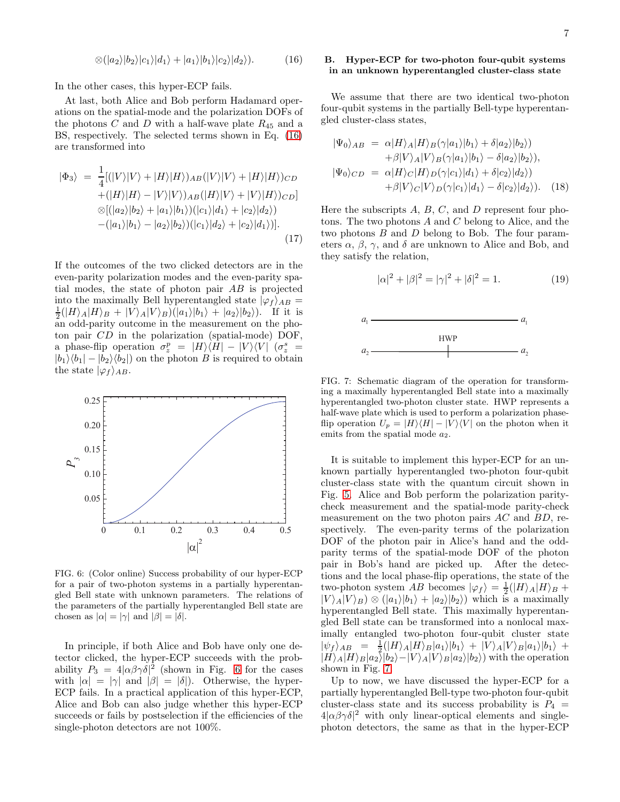$$
\otimes (|a_2\rangle|b_2\rangle|c_1\rangle|d_1\rangle + |a_1\rangle|b_1\rangle|c_2\rangle|d_2\rangle). \tag{16}
$$

In the other cases, this hyper-ECP fails.

At last, both Alice and Bob perform Hadamard operations on the spatial-mode and the polarization DOFs of the photons C and D with a half-wave plate  $R_{45}$  and a BS, respectively. The selected terms shown in Eq. [\(16\)](#page-5-1) are transformed into

$$
|\Phi_3\rangle = \frac{1}{4} [(|V\rangle|V\rangle + |H\rangle|H\rangle)_{AB} (|V\rangle|V\rangle + |H\rangle|H\rangle)_{CD} + (|H\rangle|H\rangle - |V\rangle|V\rangle)_{AB} (|H\rangle|V\rangle + |V\rangle|H\rangle)_{CD}] \n\otimes [(|a_2\rangle|b_2\rangle + |a_1\rangle|b_1\rangle)(|c_1\rangle|d_1\rangle + |c_2\rangle|d_2\rangle) - (|a_1\rangle|b_1\rangle - |a_2\rangle|b_2\rangle)(|c_1\rangle|d_2\rangle + |c_2\rangle|d_1\rangle)].
$$
\n(17)

If the outcomes of the two clicked detectors are in the even-parity polarization modes and the even-parity spatial modes, the state of photon pair  $AB$  is projected into the maximally Bell hyperentangled state  $|\varphi_f\rangle_{AB} =$  $\frac{1}{2}(|H\rangle_A|H\rangle_B + |V\rangle_A|V\rangle_B)(|a_1\rangle|b_1\rangle + |a_2\rangle|b_2\rangle).$  If it is an odd-parity outcome in the measurement on the photon pair CD in the polarization (spatial-mode) DOF, a phase-flip operation  $\sigma_z^p = |H\rangle\langle H| - |V\rangle\langle V|$  ( $\sigma_z^s =$  $|b_1\rangle\langle b_1| - |b_2\rangle\langle b_2|$  on the photon B is required to obtain the state  $|\varphi_f\rangle_{AB}$ .



<span id="page-6-0"></span>FIG. 6: (Color online) Success probability of our hyper-ECP for a pair of two-photon systems in a partially hyperentangled Bell state with unknown parameters. The relations of the parameters of the partially hyperentangled Bell state are chosen as  $|\alpha| = |\gamma|$  and  $|\beta| = |\delta|$ .

In principle, if both Alice and Bob have only one detector clicked, the hyper-ECP succeeds with the probability  $P_3 = 4|\alpha\beta\gamma\delta|^2$  (shown in Fig. [6](#page-6-0) for the cases with  $|\alpha| = |\gamma|$  and  $|\beta| = |\delta|$ ). Otherwise, the hyper-ECP fails. In a practical application of this hyper-ECP, Alice and Bob can also judge whether this hyper-ECP succeeds or fails by postselection if the efficiencies of the single-photon detectors are not 100%.

# B. Hyper-ECP for two-photon four-qubit systems in an unknown hyperentangled cluster-class state

We assume that there are two identical two-photon four-qubit systems in the partially Bell-type hyperentangled cluster-class states,

$$
|\Psi_0\rangle_{AB} = \alpha |H\rangle_A |H\rangle_B (\gamma |a_1\rangle |b_1\rangle + \delta |a_2\rangle |b_2\rangle)
$$
  
+  $\beta |V\rangle_A |V\rangle_B (\gamma |a_1\rangle |b_1\rangle - \delta |a_2\rangle |b_2\rangle),$   

$$
|\Psi_0\rangle_{CD} = \alpha |H\rangle_C |H\rangle_D (\gamma |c_1\rangle |d_1\rangle + \delta |c_2\rangle |d_2\rangle)
$$
  
+  $\beta |V\rangle_C |V\rangle_D (\gamma |c_1\rangle |d_1\rangle - \delta |c_2\rangle |d_2\rangle).$  (18)

Here the subscripts  $A, B, C$ , and  $D$  represent four photons. The two photons A and C belong to Alice, and the two photons B and D belong to Bob. The four parameters  $\alpha$ ,  $\beta$ ,  $\gamma$ , and  $\delta$  are unknown to Alice and Bob, and they satisfy the relation,

$$
|\alpha|^2 + |\beta|^2 = |\gamma|^2 + |\delta|^2 = 1.
$$
 (19)



<span id="page-6-1"></span>FIG. 7: Schematic diagram of the operation for transforming a maximally hyperentangled Bell state into a maximally hyperentangled two-photon cluster state. HWP represents a half-wave plate which is used to perform a polarization phaseflip operation  $U_p = |H\rangle\langle H| - |V\rangle\langle V|$  on the photon when it emits from the spatial mode  $a_2$ .

It is suitable to implement this hyper-ECP for an unknown partially hyperentangled two-photon four-qubit cluster-class state with the quantum circuit shown in Fig. [5.](#page-5-0) Alice and Bob perform the polarization paritycheck measurement and the spatial-mode parity-check measurement on the two photon pairs AC and BD, respectively. The even-parity terms of the polarization DOF of the photon pair in Alice's hand and the oddparity terms of the spatial-mode DOF of the photon pair in Bob's hand are picked up. After the detections and the local phase-flip operations, the state of the two-photon system AB becomes  $|\varphi_f\rangle = \frac{1}{2}(|H\rangle_A |H\rangle_B +$  $|V\rangle_A|V\rangle_B|\otimes (|a_1\rangle|b_1\rangle + |a_2\rangle|b_2\rangle)$  which is a maximally hyperentangled Bell state. This maximally hyperentangled Bell state can be transformed into a nonlocal maximally entangled two-photon four-qubit cluster state  $|\psi_f\rangle_{AB} = \frac{1}{2} (|H\rangle_A |H\rangle_B |a_1\rangle |b_1\rangle + |V\rangle_A |V\rangle_B |a_1\rangle |b_1\rangle +$  $|H\rangle_A|H\rangle_B|a_2\rangle|b_2\rangle-|V\rangle_A|V\rangle_B|a_2\rangle|b_2\rangle$  with the operation shown in Fig. [7.](#page-6-1)

Up to now, we have discussed the hyper-ECP for a partially hyperentangled Bell-type two-photon four-qubit cluster-class state and its success probability is  $P_4$  =  $4|\alpha\beta\gamma\delta|^2$  with only linear-optical elements and singlephoton detectors, the same as that in the hyper-ECP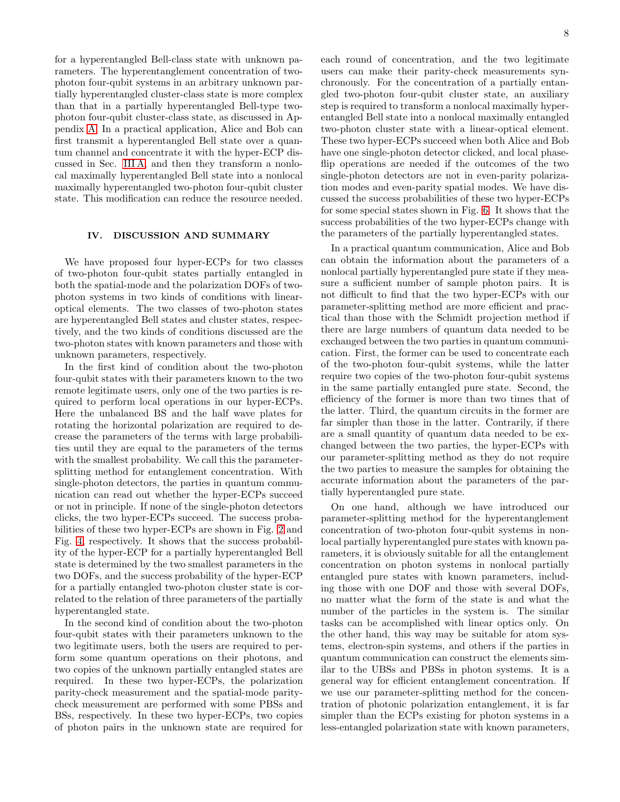for a hyperentangled Bell-class state with unknown parameters. The hyperentanglement concentration of twophoton four-qubit systems in an arbitrary unknown partially hyperentangled cluster-class state is more complex than that in a partially hyperentangled Bell-type twophoton four-qubit cluster-class state, as discussed in Appendix [A.](#page-8-0) In a practical application, Alice and Bob can first transmit a hyperentangled Bell state over a quantum channel and concentrate it with the hyper-ECP discussed in Sec. [III A,](#page-4-3) and then they transform a nonlocal maximally hyperentangled Bell state into a nonlocal maximally hyperentangled two-photon four-qubit cluster state. This modification can reduce the resource needed.

### <span id="page-7-0"></span>IV. DISCUSSION AND SUMMARY

We have proposed four hyper-ECPs for two classes of two-photon four-qubit states partially entangled in both the spatial-mode and the polarization DOFs of twophoton systems in two kinds of conditions with linearoptical elements. The two classes of two-photon states are hyperentangled Bell states and cluster states, respectively, and the two kinds of conditions discussed are the two-photon states with known parameters and those with unknown parameters, respectively.

In the first kind of condition about the two-photon four-qubit states with their parameters known to the two remote legitimate users, only one of the two parties is required to perform local operations in our hyper-ECPs. Here the unbalanced BS and the half wave plates for rotating the horizontal polarization are required to decrease the parameters of the terms with large probabilities until they are equal to the parameters of the terms with the smallest probability. We call this the parametersplitting method for entanglement concentration. With single-photon detectors, the parties in quantum communication can read out whether the hyper-ECPs succeed or not in principle. If none of the single-photon detectors clicks, the two hyper-ECPs succeed. The success probabilities of these two hyper-ECPs are shown in Fig. [2](#page-3-1) and Fig. [4,](#page-4-2) respectively. It shows that the success probability of the hyper-ECP for a partially hyperentangled Bell state is determined by the two smallest parameters in the two DOFs, and the success probability of the hyper-ECP for a partially entangled two-photon cluster state is correlated to the relation of three parameters of the partially hyperentangled state.

In the second kind of condition about the two-photon four-qubit states with their parameters unknown to the two legitimate users, both the users are required to perform some quantum operations on their photons, and two copies of the unknown partially entangled states are required. In these two hyper-ECPs, the polarization parity-check measurement and the spatial-mode paritycheck measurement are performed with some PBSs and BSs, respectively. In these two hyper-ECPs, two copies of photon pairs in the unknown state are required for each round of concentration, and the two legitimate users can make their parity-check measurements synchronously. For the concentration of a partially entangled two-photon four-qubit cluster state, an auxiliary step is required to transform a nonlocal maximally hyperentangled Bell state into a nonlocal maximally entangled two-photon cluster state with a linear-optical element. These two hyper-ECPs succeed when both Alice and Bob have one single-photon detector clicked, and local phaseflip operations are needed if the outcomes of the two single-photon detectors are not in even-parity polarization modes and even-parity spatial modes. We have discussed the success probabilities of these two hyper-ECPs for some special states shown in Fig. [6.](#page-6-0) It shows that the success probabilities of the two hyper-ECPs change with the parameters of the partially hyperentangled states.

In a practical quantum communication, Alice and Bob can obtain the information about the parameters of a nonlocal partially hyperentangled pure state if they measure a sufficient number of sample photon pairs. It is not difficult to find that the two hyper-ECPs with our parameter-splitting method are more efficient and practical than those with the Schmidt projection method if there are large numbers of quantum data needed to be exchanged between the two parties in quantum communication. First, the former can be used to concentrate each of the two-photon four-qubit systems, while the latter require two copies of the two-photon four-qubit systems in the same partially entangled pure state. Second, the efficiency of the former is more than two times that of the latter. Third, the quantum circuits in the former are far simpler than those in the latter. Contrarily, if there are a small quantity of quantum data needed to be exchanged between the two parties, the hyper-ECPs with our parameter-splitting method as they do not require the two parties to measure the samples for obtaining the accurate information about the parameters of the partially hyperentangled pure state.

On one hand, although we have introduced our parameter-splitting method for the hyperentanglement concentration of two-photon four-qubit systems in nonlocal partially hyperentangled pure states with known parameters, it is obviously suitable for all the entanglement concentration on photon systems in nonlocal partially entangled pure states with known parameters, including those with one DOF and those with several DOFs, no matter what the form of the state is and what the number of the particles in the system is. The similar tasks can be accomplished with linear optics only. On the other hand, this way may be suitable for atom systems, electron-spin systems, and others if the parties in quantum communication can construct the elements similar to the UBSs and PBSs in photon systems. It is a general way for efficient entanglement concentration. If we use our parameter-splitting method for the concentration of photonic polarization entanglement, it is far simpler than the ECPs existing for photon systems in a less-entangled polarization state with known parameters,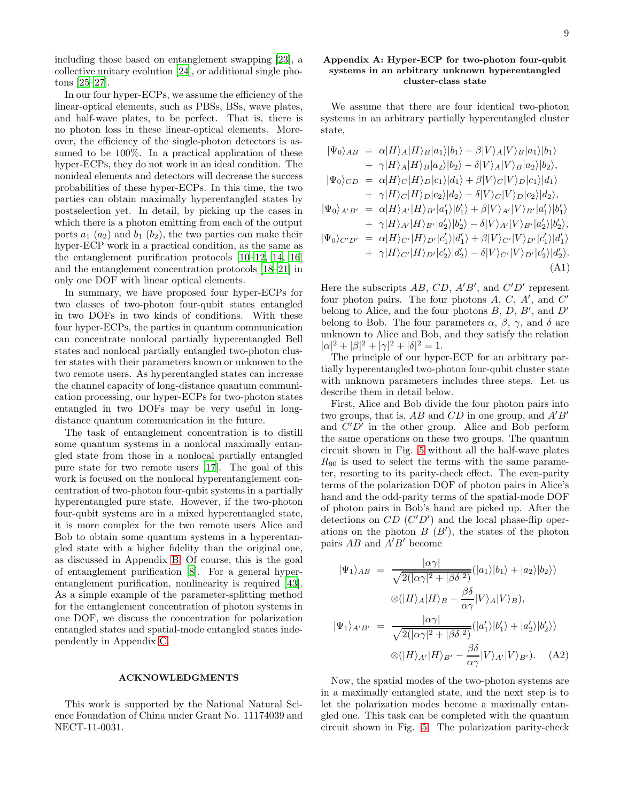including those based on entanglement swapping [\[23\]](#page-12-2), a collective unitary evolution [\[24](#page-12-13)], or additional single photons [\[25](#page-12-14)[–27](#page-12-0)].

In our four hyper-ECPs, we assume the efficiency of the linear-optical elements, such as PBSs, BSs, wave plates, and half-wave plates, to be perfect. That is, there is no photon loss in these linear-optical elements. Moreover, the efficiency of the single-photon detectors is assumed to be 100%. In a practical application of these hyper-ECPs, they do not work in an ideal condition. The nonideal elements and detectors will decrease the success probabilities of these hyper-ECPs. In this time, the two parties can obtain maximally hyperentangled states by postselection yet. In detail, by picking up the cases in which there is a photon emitting from each of the output ports  $a_1$   $(a_2)$  and  $b_1$   $(b_2)$ , the two parties can make their hyper-ECP work in a practical condition, as the same as the entanglement purification protocols [\[10](#page-11-15)[–12,](#page-11-16) [14,](#page-11-14) [16](#page-11-8)] and the entanglement concentration protocols [\[18](#page-11-10)[–21\]](#page-11-17) in only one DOF with linear optical elements.

In summary, we have proposed four hyper-ECPs for two classes of two-photon four-qubit states entangled in two DOFs in two kinds of conditions. With these four hyper-ECPs, the parties in quantum communication can concentrate nonlocal partially hyperentangled Bell states and nonlocal partially entangled two-photon cluster states with their parameters known or unknown to the two remote users. As hyperentangled states can increase the channel capacity of long-distance quantum communication processing, our hyper-ECPs for two-photon states entangled in two DOFs may be very useful in longdistance quantum communication in the future.

The task of entanglement concentration is to distill some quantum systems in a nonlocal maximally entangled state from those in a nonlocal partially entangled pure state for two remote users [\[17](#page-11-9)]. The goal of this work is focused on the nonlocal hyperentanglement concentration of two-photon four-qubit systems in a partially hyperentangled pure state. However, if the two-photon four-qubit systems are in a mixed hyperentangled state, it is more complex for the two remote users Alice and Bob to obtain some quantum systems in a hyperentangled state with a higher fidelity than the original one, as discussed in Appendix [B.](#page-9-0) Of course, this is the goal of entanglement purification [\[8\]](#page-11-7). For a general hyperentanglement purification, nonlinearity is required [\[43\]](#page-12-15). As a simple example of the parameter-splitting method for the entanglement concentration of photon systems in one DOF, we discuss the concentration for polarization entangled states and spatial-mode entangled states independently in Appendix [C.](#page-10-0)

## ACKNOWLEDGMENTS

This work is supported by the National Natural Science Foundation of China under Grant No. 11174039 and NECT-11-0031.

# <span id="page-8-0"></span>Appendix A: Hyper-ECP for two-photon four-qubit systems in an arbitrary unknown hyperentangled cluster-class state

We assume that there are four identical two-photon systems in an arbitrary partially hyperentangled cluster state,

$$
|\Psi_{0}\rangle_{AB} = \alpha|H\rangle_{A}|H\rangle_{B}|a_{1}\rangle|b_{1}\rangle + \beta|V\rangle_{A}|V\rangle_{B}|a_{1}\rangle|b_{1}\rangle
$$
  
+  $\gamma|H\rangle_{A}|H\rangle_{B}|a_{2}\rangle|b_{2}\rangle - \delta|V\rangle_{A}|V\rangle_{B}|a_{2}\rangle|b_{2}\rangle,$   

$$
|\Psi_{0}\rangle_{CD} = \alpha|H\rangle_{C}|H\rangle_{D}|c_{1}\rangle|d_{1}\rangle + \beta|V\rangle_{C}|V\rangle_{D}|c_{1}\rangle|d_{1}\rangle
$$
  
+  $\gamma|H\rangle_{C}|H\rangle_{D}|c_{2}\rangle|d_{2}\rangle - \delta|V\rangle_{C}|V\rangle_{D}|c_{2}\rangle|d_{2}\rangle,$   

$$
|\Psi_{0}\rangle_{A'B'} = \alpha|H\rangle_{A'}|H\rangle_{B'}|a'_{1}\rangle|b'_{1}\rangle + \beta|V\rangle_{A'}|V\rangle_{B'}|a'_{1}\rangle|b'_{1}\rangle
$$
  
+  $\gamma|H\rangle_{A'}|H\rangle_{B'}|a'_{2}\rangle|b'_{2}\rangle - \delta|V\rangle_{A'}|V\rangle_{B'}|a'_{2}\rangle|b'_{2}\rangle,$   

$$
|\Psi_{0}\rangle_{C'D'} = \alpha|H\rangle_{C'}|H\rangle_{D'}|c'_{1}\rangle|d'_{1}\rangle + \beta|V\rangle_{C'}|V\rangle_{D'}|c'_{1}\rangle|d'_{1}\rangle
$$
  
+  $\gamma|H\rangle_{C'}|H\rangle_{D'}|c'_{2}\rangle|d'_{2}\rangle - \delta|V\rangle_{C'}|V\rangle_{D'}|c'_{2}\rangle|d'_{2}\rangle.$   
(A1)

Here the subscripts  $AB$ ,  $CD$ ,  $A'B'$ , and  $C'D'$  represent four photon pairs. The four photons  $A, C, A',$  and  $C'$ belong to Alice, and the four photons  $B, D, B'$ , and  $D'$ belong to Bob. The four parameters  $\alpha$ ,  $\beta$ ,  $\gamma$ , and  $\delta$  are unknown to Alice and Bob, and they satisfy the relation  $|\alpha|^2 + |\beta|^2 + |\gamma|^2 + |\delta|^2 = 1.$ 

The principle of our hyper-ECP for an arbitrary partially hyperentangled two-photon four-qubit cluster state with unknown parameters includes three steps. Let us describe them in detail below.

First, Alice and Bob divide the four photon pairs into two groups, that is,  $AB$  and  $CD$  in one group, and  $A'B'$ and C ′D′ in the other group. Alice and Bob perform the same operations on these two groups. The quantum circuit shown in Fig. [5](#page-5-0) without all the half-wave plates  $R_{90}$  is used to select the terms with the same parameter, resorting to its parity-check effect. The even-parity terms of the polarization DOF of photon pairs in Alice's hand and the odd-parity terms of the spatial-mode DOF of photon pairs in Bob's hand are picked up. After the detections on  $CD$   $(C'D')$  and the local phase-flip operations on the photon  $B(B')$ , the states of the photon pairs  $AB$  and  $A'B'$  become

$$
|\Psi_1\rangle_{AB} = \frac{|\alpha\gamma|}{\sqrt{2(|\alpha\gamma|^2 + |\beta\delta|^2)}}(|a_1\rangle|b_1\rangle + |a_2\rangle|b_2\rangle)
$$

$$
\otimes (|H\rangle_A|H\rangle_B - \frac{\beta\delta}{\alpha\gamma}|V\rangle_A|V\rangle_B),
$$

$$
|\Psi_1\rangle_{A'B'} = \frac{|\alpha\gamma|}{\sqrt{2(|\alpha\gamma|^2 + |\beta\delta|^2)}}(|a'_1\rangle|b'_1\rangle + |a'_2\rangle|b'_2\rangle)
$$

$$
\otimes (|H\rangle_{A'}|H\rangle_{B'} - \frac{\beta\delta}{\alpha\gamma}|V\rangle_{A'}|V\rangle_{B'}).
$$
 (A2)

Now, the spatial modes of the two-photon systems are in a maximally entangled state, and the next step is to let the polarization modes become a maximally entangled one. This task can be completed with the quantum circuit shown in Fig. [5.](#page-5-0) The polarization parity-check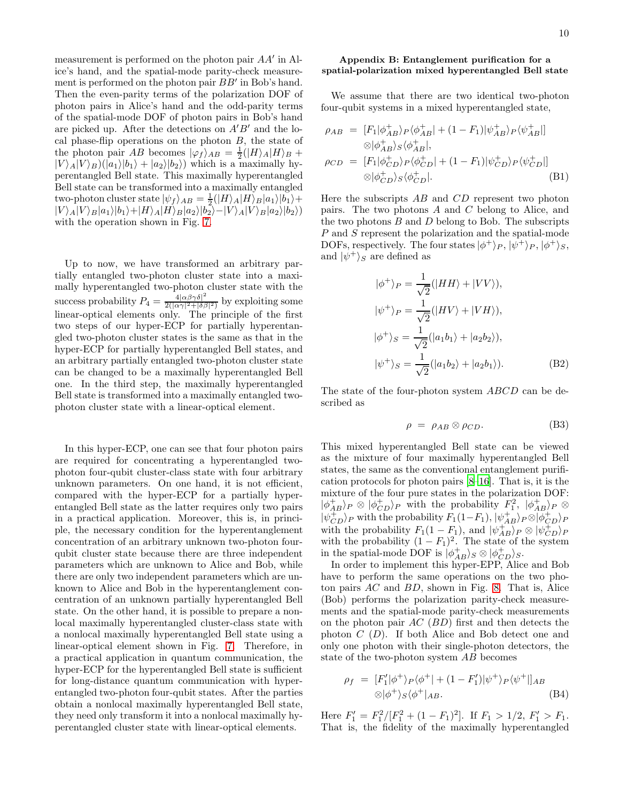measurement is performed on the photon pair  $AA'$  in Alice's hand, and the spatial-mode parity-check measurement is performed on the photon pair  $BB'$  in Bob's hand. Then the even-parity terms of the polarization DOF of photon pairs in Alice's hand and the odd-parity terms of the spatial-mode DOF of photon pairs in Bob's hand are picked up. After the detections on  $A'B'$  and the local phase-flip operations on the photon  $B$ , the state of the photon pair AB becomes  $|\varphi_f\rangle_{AB} = \frac{1}{2}(|H\rangle_A |H\rangle_B +$  $|V\rangle_A|V\rangle_B$  $(|a_1\rangle|b_1\rangle + |a_2\rangle|b_2\rangle)$  which is a maximally hyperentangled Bell state. This maximally hyperentangled Bell state can be transformed into a maximally entangled two-photon cluster state  $|\psi_f\rangle_{AB} = \frac{1}{2}(|H\rangle_A |H\rangle_B |a_1\rangle |b_1\rangle +$  $|V\rangle_A|V\rangle_B|a_1\rangle|b_1\rangle+|H\rangle_A|H\rangle_B|a_2\rangle|b_2\rangle-|V\rangle_A|V\rangle_B|a_2\rangle|b_2\rangle)$ with the operation shown in Fig. [7.](#page-6-1)

Up to now, we have transformed an arbitrary partially entangled two-photon cluster state into a maximally hyperentangled two-photon cluster state with the success probability  $P_4 = \frac{4|\alpha\beta\gamma\delta|^2}{2(|\alpha\gamma|^2+|\delta\beta|)}$  $\frac{4|\alpha\rho\gamma\delta|}{2(|\alpha\gamma|^2+|\delta\beta|^2)}$  by exploiting some linear-optical elements only. The principle of the first two steps of our hyper-ECP for partially hyperentangled two-photon cluster states is the same as that in the hyper-ECP for partially hyperentangled Bell states, and an arbitrary partially entangled two-photon cluster state can be changed to be a maximally hyperentangled Bell one. In the third step, the maximally hyperentangled Bell state is transformed into a maximally entangled twophoton cluster state with a linear-optical element.

In this hyper-ECP, one can see that four photon pairs are required for concentrating a hyperentangled twophoton four-qubit cluster-class state with four arbitrary unknown parameters. On one hand, it is not efficient, compared with the hyper-ECP for a partially hyperentangled Bell state as the latter requires only two pairs in a practical application. Moreover, this is, in principle, the necessary condition for the hyperentanglement concentration of an arbitrary unknown two-photon fourqubit cluster state because there are three independent parameters which are unknown to Alice and Bob, while there are only two independent parameters which are unknown to Alice and Bob in the hyperentanglement concentration of an unknown partially hyperentangled Bell state. On the other hand, it is possible to prepare a nonlocal maximally hyperentangled cluster-class state with a nonlocal maximally hyperentangled Bell state using a linear-optical element shown in Fig. [7.](#page-6-1) Therefore, in a practical application in quantum communication, the hyper-ECP for the hyperentangled Bell state is sufficient for long-distance quantum communication with hyperentangled two-photon four-qubit states. After the parties obtain a nonlocal maximally hyperentangled Bell state, they need only transform it into a nonlocal maximally hyperentangled cluster state with linear-optical elements.

# <span id="page-9-0"></span>Appendix B: Entanglement purification for a spatial-polarization mixed hyperentangled Bell state

We assume that there are two identical two-photon four-qubit systems in a mixed hyperentangled state,

$$
\rho_{AB} = [F_1|\phi_{AB}^+ \rangle_P \langle \phi_{AB}^+| + (1 - F_1)|\psi_{AB}^+ \rangle_P \langle \psi_{AB}^+|]
$$
  
\n
$$
\otimes |\phi_{AB}^+ \rangle_S \langle \phi_{AB}^+|,
$$
  
\n
$$
\rho_{CD} = [F_1|\phi_{CD}^+ \rangle_P \langle \phi_{CD}^+| + (1 - F_1)|\psi_{CD}^+ \rangle_P \langle \psi_{CD}^+|]
$$
  
\n
$$
\otimes |\phi_{CD}^+ \rangle_S \langle \phi_{CD}^+|.
$$
 (B1)

Here the subscripts  $AB$  and  $CD$  represent two photon pairs. The two photons A and C belong to Alice, and the two photons  $B$  and  $D$  belong to Bob. The subscripts P and S represent the polarization and the spatial-mode DOFs, respectively. The four states  $|\phi^{+}\rangle_{P}$ ,  $|\psi^{+}\rangle_{P}$ ,  $|\phi^{+}\rangle_{S}$ , and  $|\psi^+\rangle_S$  are defined as

$$
|\phi^{+}\rangle_{P} = \frac{1}{\sqrt{2}}(|HH\rangle + |VV\rangle),
$$
  
\n
$$
|\psi^{+}\rangle_{P} = \frac{1}{\sqrt{2}}(|HV\rangle + |VH\rangle),
$$
  
\n
$$
|\phi^{+}\rangle_{S} = \frac{1}{\sqrt{2}}(|a_{1}b_{1}\rangle + |a_{2}b_{2}\rangle),
$$
  
\n
$$
|\psi^{+}\rangle_{S} = \frac{1}{\sqrt{2}}(|a_{1}b_{2}\rangle + |a_{2}b_{1}\rangle).
$$
 (B2)

The state of the four-photon system ABCD can be described as

$$
\rho = \rho_{AB} \otimes \rho_{CD}.\tag{B3}
$$

This mixed hyperentangled Bell state can be viewed as the mixture of four maximally hyperentangled Bell states, the same as the conventional entanglement purification protocols for photon pairs [\[8](#page-11-7)[–16](#page-11-8)]. That is, it is the mixture of the four pure states in the polarization DOF:  $|\phi_{AB}^{\dagger}\rangle_P \otimes |\phi_{CD}^{\dagger}\rangle_P$  with the probability  $F_1^2$ ,  $|\phi_{AB}^{\dagger}\rangle_P \otimes$  $|\psi_{CD}^{\dagger}\rangle_P$  with the probability  $F_1(1-F_1), |\psi_{AB}^{\dagger}\rangle_P \otimes |\phi_{CD}^{\dagger}\rangle_P$ with the probability  $F_1(1 - F_1)$ , and  $|\psi_{AB}^+\rangle_P \otimes |\psi_{CD}^+\rangle_P$ with the probability  $(1 - F_1)^2$ . The state of the system in the spatial-mode DOF is  $|\phi_{AB}^+\rangle_s \otimes |\phi_{CD}^+\rangle_s$ .

In order to implement this hyper-EPP, Alice and Bob have to perform the same operations on the two photon pairs AC and BD, shown in Fig. [8.](#page-10-1) That is, Alice (Bob) performs the polarization parity-check measurements and the spatial-mode parity-check measurements on the photon pair  $AC$  ( $BD$ ) first and then detects the photon  $C(D)$ . If both Alice and Bob detect one and only one photon with their single-photon detectors, the state of the two-photon system AB becomes

$$
\rho_f = [F_1'|\phi^+\rangle_P\langle\phi^+| + (1 - F_1')|\psi^+\rangle_P\langle\psi^+|]_{AB}
$$
  
 
$$
\otimes|\phi^+\rangle_S\langle\phi^+|_{AB}.
$$
 (B4)

Here  $F'_1 = F_1^2/[F_1^2 + (1 - F_1)^2]$ . If  $F_1 > 1/2$ ,  $F'_1 > F_1$ . That is, the fidelity of the maximally hyperentangled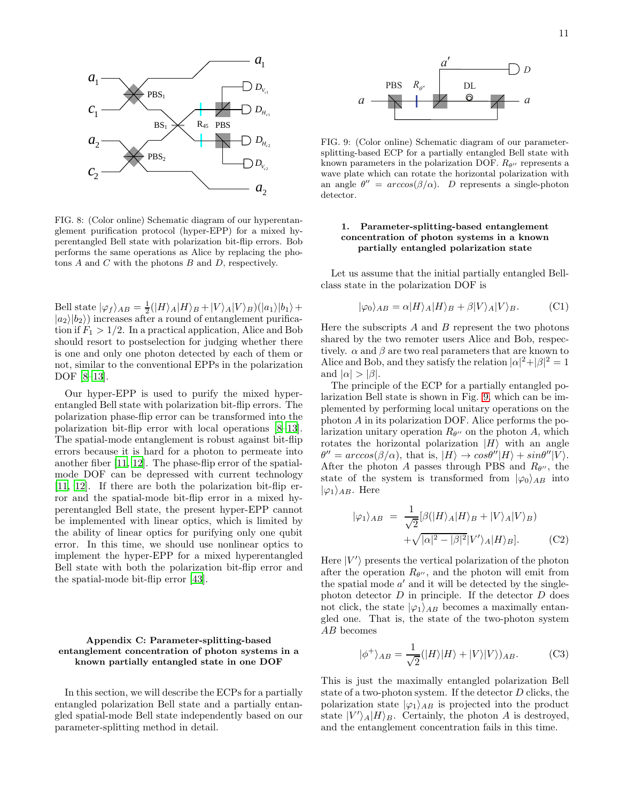

<span id="page-10-1"></span>FIG. 8: (Color online) Schematic diagram of our hyperentanglement purification protocol (hyper-EPP) for a mixed hyperentangled Bell state with polarization bit-flip errors. Bob performs the same operations as Alice by replacing the photons  $A$  and  $C$  with the photons  $B$  and  $D$ , respectively.

Bell state  $|\varphi_f\rangle_{AB} = \frac{1}{2} (|H\rangle_A |H\rangle_B + |V\rangle_A |V\rangle_B)(|a_1\rangle |b_1\rangle +$  $|a_2\rangle|b_2\rangle$  increases after a round of entanglement purification if  $F_1 > 1/2$ . In a practical application, Alice and Bob should resort to postselection for judging whether there is one and only one photon detected by each of them or not, similar to the conventional EPPs in the polarization DOF [\[8](#page-11-7)[–13\]](#page-11-13).

Our hyper-EPP is used to purify the mixed hyperentangled Bell state with polarization bit-flip errors. The polarization phase-flip error can be transformed into the polarization bit-flip error with local operations [\[8](#page-11-7)[–13\]](#page-11-13). The spatial-mode entanglement is robust against bit-flip errors because it is hard for a photon to permeate into another fiber [\[11,](#page-11-12) [12\]](#page-11-16). The phase-flip error of the spatialmode DOF can be depressed with current technology [\[11,](#page-11-12) [12](#page-11-16)]. If there are both the polarization bit-flip error and the spatial-mode bit-flip error in a mixed hyperentangled Bell state, the present hyper-EPP cannot be implemented with linear optics, which is limited by the ability of linear optics for purifying only one qubit error. In this time, we should use nonlinear optics to implement the hyper-EPP for a mixed hyperentangled Bell state with both the polarization bit-flip error and the spatial-mode bit-flip error [\[43](#page-12-15)].

# <span id="page-10-0"></span>Appendix C: Parameter-splitting-based entanglement concentration of photon systems in a known partially entangled state in one DOF

In this section, we will describe the ECPs for a partially entangled polarization Bell state and a partially entangled spatial-mode Bell state independently based on our parameter-splitting method in detail.



<span id="page-10-2"></span>FIG. 9: (Color online) Schematic diagram of our parametersplitting-based ECP for a partially entangled Bell state with known parameters in the polarization DOF.  $R_{\theta}$ <sup>'</sup> represents a wave plate which can rotate the horizontal polarization with an angle  $\theta'' = \arccos(\beta/\alpha)$ . D represents a single-photon detector.

### 1. Parameter-splitting-based entanglement concentration of photon systems in a known partially entangled polarization state

Let us assume that the initial partially entangled Bellclass state in the polarization DOF is

$$
|\varphi_0\rangle_{AB} = \alpha |H\rangle_A |H\rangle_B + \beta |V\rangle_A |V\rangle_B. \tag{C1}
$$

Here the subscripts  $A$  and  $B$  represent the two photons shared by the two remoter users Alice and Bob, respectively.  $\alpha$  and  $\beta$  are two real parameters that are known to Alice and Bob, and they satisfy the relation  $|\alpha|^2 + |\beta|^2 = 1$ and  $|\alpha| > |\beta|$ .

The principle of the ECP for a partially entangled polarization Bell state is shown in Fig. [9,](#page-10-2) which can be implemented by performing local unitary operations on the photon A in its polarization DOF. Alice performs the polarization unitary operation  $R_{\theta''}$  on the photon A, which rotates the horizontal polarization  $|H\rangle$  with an angle  $\theta'' = \arccos(\beta/\alpha)$ , that is,  $|H\rangle \rightarrow \cos\theta''|H\rangle + \sin\theta''|V\rangle$ . After the photon A passes through PBS and  $R_{\theta''}$ , the state of the system is transformed from  $|\varphi_0\rangle_{AB}$  into  $|\varphi_1\rangle_{AB}$ . Here

$$
|\varphi_1\rangle_{AB} = \frac{1}{\sqrt{2}} [\beta(|H\rangle_A |H\rangle_B + |V\rangle_A |V\rangle_B) + \sqrt{|\alpha|^2 - |\beta|^2} |V'\rangle_A |H\rangle_B].
$$
 (C2)

Here  $|V'\rangle$  presents the vertical polarization of the photon after the operation  $R_{\theta''}$ , and the photon will emit from the spatial mode  $a'$  and it will be detected by the singlephoton detector  $D$  in principle. If the detector  $D$  does not click, the state  $|\varphi_1\rangle_{AB}$  becomes a maximally entangled one. That is, the state of the two-photon system AB becomes

$$
|\phi^{+}\rangle_{AB} = \frac{1}{\sqrt{2}} (|H\rangle|H\rangle + |V\rangle|V\rangle)_{AB}.
$$
 (C3)

This is just the maximally entangled polarization Bell state of a two-photon system. If the detector D clicks, the polarization state  $|\varphi_1\rangle_{AB}$  is projected into the product state  $|V'\rangle_A|H\rangle_B$ . Certainly, the photon A is destroyed, and the entanglement concentration fails in this time.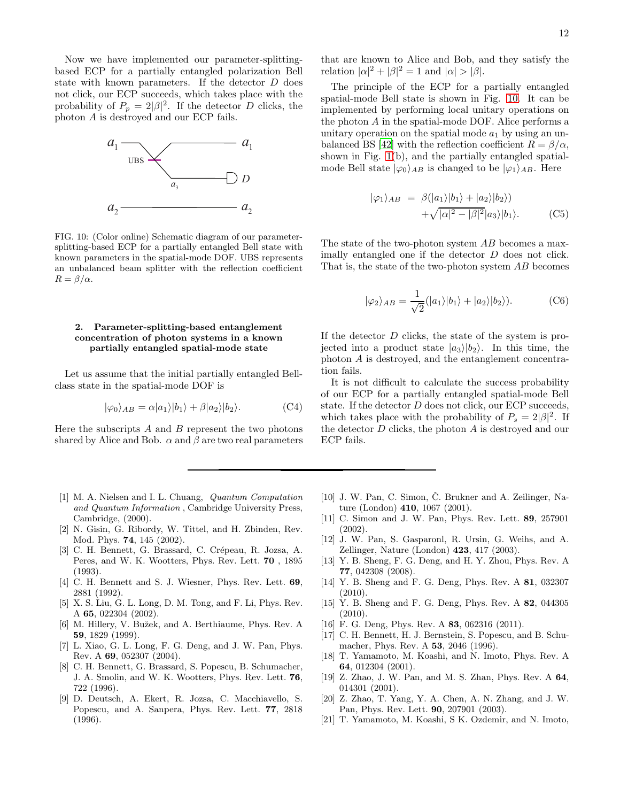Now we have implemented our parameter-splittingbased ECP for a partially entangled polarization Bell state with known parameters. If the detector D does not click, our ECP succeeds, which takes place with the probability of  $P_p = 2|\beta|^2$ . If the detector D clicks, the photon A is destroyed and our ECP fails.



<span id="page-11-18"></span>FIG. 10: (Color online) Schematic diagram of our parametersplitting-based ECP for a partially entangled Bell state with known parameters in the spatial-mode DOF. UBS represents an unbalanced beam splitter with the reflection coefficient  $R = \beta/\alpha$ .

### 2. Parameter-splitting-based entanglement concentration of photon systems in a known partially entangled spatial-mode state

Let us assume that the initial partially entangled Bellclass state in the spatial-mode DOF is

$$
|\varphi_0\rangle_{AB} = \alpha|a_1\rangle|b_1\rangle + \beta|a_2\rangle|b_2\rangle.
$$
 (C4)

Here the subscripts  $A$  and  $B$  represent the two photons shared by Alice and Bob.  $\alpha$  and  $\beta$  are two real parameters

- <span id="page-11-0"></span>[1] M. A. Nielsen and I. L. Chuang, Quantum Computation and Quantum Information , Cambridge University Press, Cambridge, (2000).
- <span id="page-11-1"></span>[2] N. Gisin, G. Ribordy, W. Tittel, and H. Zbinden, Rev. Mod. Phys. 74, 145 (2002).
- <span id="page-11-2"></span>[3] C. H. Bennett, G. Brassard, C. Crépeau, R. Jozsa, A. Peres, and W. K. Wootters, Phys. Rev. Lett. 70 , 1895 (1993).
- <span id="page-11-3"></span>[4] C. H. Bennett and S. J. Wiesner, Phys. Rev. Lett. 69, 2881 (1992).
- <span id="page-11-4"></span>[5] X. S. Liu, G. L. Long, D. M. Tong, and F. Li, Phys. Rev. A 65, 022304 (2002).
- <span id="page-11-5"></span>[6] M. Hillery, V. Bužek, and A. Berthiaume, Phys. Rev. A 59, 1829 (1999).
- <span id="page-11-6"></span>[7] L. Xiao, G. L. Long, F. G. Deng, and J. W. Pan, Phys. Rev. A 69, 052307 (2004).
- <span id="page-11-7"></span>[8] C. H. Bennett, G. Brassard, S. Popescu, B. Schumacher, J. A. Smolin, and W. K. Wootters, Phys. Rev. Lett. 76, 722 (1996).
- [9] D. Deutsch, A. Ekert, R. Jozsa, C. Macchiavello, S. Popescu, and A. Sanpera, Phys. Rev. Lett. 77, 2818 (1996).

that are known to Alice and Bob, and they satisfy the relation  $|\alpha|^2 + |\beta|^2 = 1$  and  $|\alpha| > |\beta|$ .

The principle of the ECP for a partially entangled spatial-mode Bell state is shown in Fig. [10.](#page-11-18) It can be implemented by performing local unitary operations on the photon A in the spatial-mode DOF. Alice performs a unitary operation on the spatial mode  $a_1$  by using an un-balanced BS [\[42\]](#page-12-12) with the reflection coefficient  $R = \beta/\alpha$ , shown in Fig. [1\(](#page-2-0)b), and the partially entangled spatialmode Bell state  $|\varphi_0\rangle_{AB}$  is changed to be  $|\varphi_1\rangle_{AB}$ . Here

$$
|\varphi_1\rangle_{AB} = \beta(|a_1\rangle|b_1\rangle + |a_2\rangle|b_2\rangle) + \sqrt{|\alpha|^2 - |\beta|^2} |a_3\rangle|b_1\rangle.
$$
 (C5)

The state of the two-photon system AB becomes a maximally entangled one if the detector D does not click. That is, the state of the two-photon system AB becomes

$$
|\varphi_2\rangle_{AB} = \frac{1}{\sqrt{2}}(|a_1\rangle|b_1\rangle + |a_2\rangle|b_2\rangle). \tag{C6}
$$

If the detector D clicks, the state of the system is projected into a product state  $|a_3\rangle|b_2\rangle$ . In this time, the photon A is destroyed, and the entanglement concentration fails.

It is not difficult to calculate the success probability of our ECP for a partially entangled spatial-mode Bell state. If the detector D does not click, our ECP succeeds, which takes place with the probability of  $P_s = 2|\beta|^2$ . If the detector  $D$  clicks, the photon  $A$  is destroyed and our ECP fails.

- <span id="page-11-15"></span>[10] J. W. Pan, C. Simon, Č. Brukner and A. Zeilinger, Nature (London) 410, 1067 (2001).
- <span id="page-11-12"></span>[11] C. Simon and J. W. Pan, Phys. Rev. Lett. 89, 257901 (2002).
- <span id="page-11-16"></span>[12] J. W. Pan, S. Gasparonl, R. Ursin, G. Weihs, and A. Zellinger, Nature (London) 423, 417 (2003).
- <span id="page-11-13"></span>[13] Y. B. Sheng, F. G. Deng, and H. Y. Zhou, Phys. Rev. A 77, 042308 (2008).
- <span id="page-11-14"></span>[14] Y. B. Sheng and F. G. Deng, Phys. Rev. A 81, 032307 (2010).
- [15] Y. B. Sheng and F. G. Deng, Phys. Rev. A 82, 044305 (2010).
- <span id="page-11-8"></span>[16] F. G. Deng, Phys. Rev. A **83**, 062316 (2011).
- <span id="page-11-9"></span>[17] C. H. Bennett, H. J. Bernstein, S. Popescu, and B. Schumacher, Phys. Rev. A 53, 2046 (1996).
- <span id="page-11-10"></span>[18] T. Yamamoto, M. Koashi, and N. Imoto, Phys. Rev. A 64, 012304 (2001).
- <span id="page-11-11"></span>[19] Z. Zhao, J. W. Pan, and M. S. Zhan, Phys. Rev. A 64, 014301 (2001).
- [20] Z. Zhao, T. Yang, Y. A. Chen, A. N. Zhang, and J. W. Pan, Phys. Rev. Lett. 90, 207901 (2003).
- <span id="page-11-17"></span>[21] T. Yamamoto, M. Koashi, S K. Ozdemir, and N. Imoto,